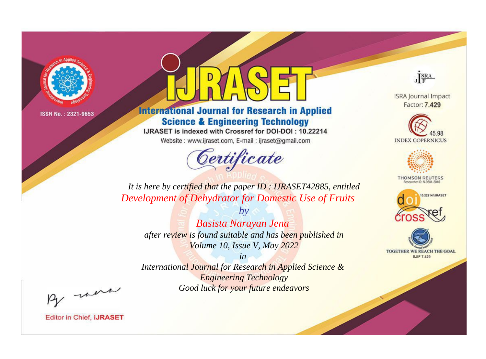

# **International Journal for Research in Applied Science & Engineering Technology**

IJRASET is indexed with Crossref for DOI-DOI: 10.22214

Website: www.ijraset.com, E-mail: ijraset@gmail.com



JERA

**ISRA Journal Impact** Factor: 7.429





**THOMSON REUTERS** 



TOGETHER WE REACH THE GOAL **SJIF 7.429** 

*It is here by certified that the paper ID : IJRASET42885, entitled Development of Dehydrator for Domestic Use of Fruits*

*by Basista Narayan Jena after review is found suitable and has been published in Volume 10, Issue V, May 2022*

*in* 

*International Journal for Research in Applied Science & Engineering Technology Good luck for your future endeavors*

By morn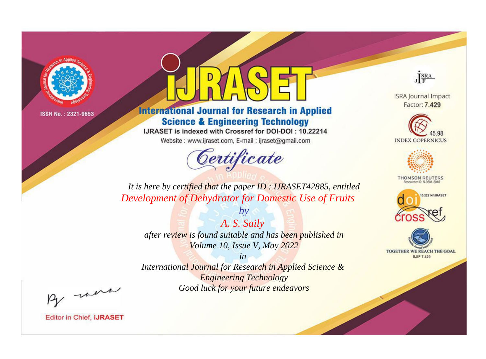

# **International Journal for Research in Applied Science & Engineering Technology**

IJRASET is indexed with Crossref for DOI-DOI: 10.22214

Website: www.ijraset.com, E-mail: ijraset@gmail.com



JERA

**ISRA Journal Impact** Factor: 7.429





**THOMSON REUTERS** 



TOGETHER WE REACH THE GOAL **SJIF 7.429** 

*It is here by certified that the paper ID : IJRASET42885, entitled Development of Dehydrator for Domestic Use of Fruits*

*A. S. Saily after review is found suitable and has been published in Volume 10, Issue V, May 2022*

*by*

*in* 

*International Journal for Research in Applied Science & Engineering Technology Good luck for your future endeavors*

By morn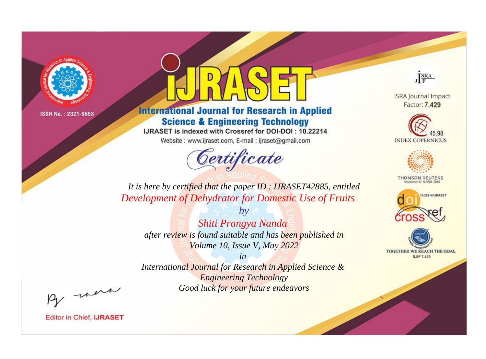

# **International Journal for Research in Applied Science & Engineering Technology**

IJRASET is indexed with Crossref for DOI-DOI: 10.22214

Website: www.ijraset.com, E-mail: ijraset@gmail.com



JERA

**ISRA Journal Impact** Factor: 7.429





**THOMSON REUTERS** 



TOGETHER WE REACH THE GOAL **SJIF 7.429** 

*It is here by certified that the paper ID : IJRASET42885, entitled Development of Dehydrator for Domestic Use of Fruits*

*by Shiti Prangya Nanda after review is found suitable and has been published in Volume 10, Issue V, May 2022*

*in* 

*International Journal for Research in Applied Science & Engineering Technology Good luck for your future endeavors*

By morn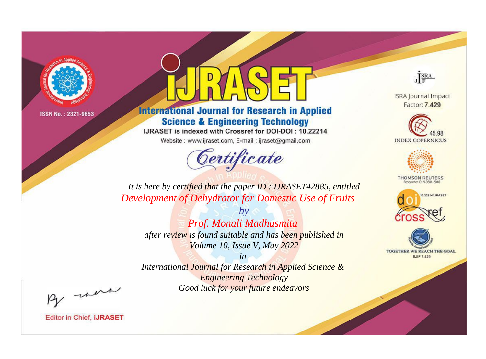

# **International Journal for Research in Applied Science & Engineering Technology**

IJRASET is indexed with Crossref for DOI-DOI: 10.22214

Website: www.ijraset.com, E-mail: ijraset@gmail.com



JERA

**ISRA Journal Impact** Factor: 7.429





**THOMSON REUTERS** 



TOGETHER WE REACH THE GOAL **SJIF 7.429** 

*It is here by certified that the paper ID : IJRASET42885, entitled Development of Dehydrator for Domestic Use of Fruits*

*by Prof. Monali Madhusmita after review is found suitable and has been published in Volume 10, Issue V, May 2022*

*in* 

*International Journal for Research in Applied Science & Engineering Technology Good luck for your future endeavors*

By morn